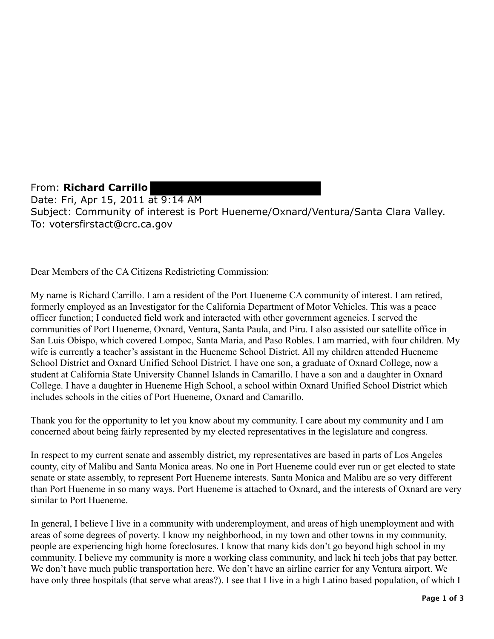From: **Richard Carrillo**  Date: Fri, Apr 15, 2011 at 9:14 AM Subject: Community of interest is Port Hueneme/Oxnard/Ventura/Santa Clara Valley. To: votersfirstact@crc.ca.gov

Dear Members of the CA Citizens Redistricting Commission:

My name is Richard Carrillo. I am a resident of the Port Hueneme CA community of interest. I am retired, formerly employed as an Investigator for the California Department of Motor Vehicles. This was a peace officer function; I conducted field work and interacted with other government agencies. I served the communities of Port Hueneme, Oxnard, Ventura, Santa Paula, and Piru. I also assisted our satellite office in San Luis Obispo, which covered Lompoc, Santa Maria, and Paso Robles. I am married, with four children. My wife is currently a teacher's assistant in the Hueneme School District. All my children attended Hueneme School District and Oxnard Unified School District. I have one son, a graduate of Oxnard College, now a student at California State University Channel Islands in Camarillo. I have a son and a daughter in Oxnard College. I have a daughter in Hueneme High School, a school within Oxnard Unified School District which includes schools in the cities of Port Hueneme, Oxnard and Camarillo.

Thank you for the opportunity to let you know about my community. I care about my community and I am concerned about being fairly represented by my elected representatives in the legislature and congress.

In respect to my current senate and assembly district, my representatives are based in parts of Los Angeles county, city of Malibu and Santa Monica areas. No one in Port Hueneme could ever run or get elected to state senate or state assembly, to represent Port Hueneme interests. Santa Monica and Malibu are so very different than Port Hueneme in so many ways. Port Hueneme is attached to Oxnard, and the interests of Oxnard are very similar to Port Hueneme.

In general, I believe I live in a community with underemployment, and areas of high unemployment and with areas of some degrees of poverty. I know my neighborhood, in my town and other towns in my community, people are experiencing high home foreclosures. I know that many kids don't go beyond high school in my community. I believe my community is more a working class community, and lack hi tech jobs that pay better. We don't have much public transportation here. We don't have an airline carrier for any Ventura airport. We have only three hospitals (that serve what areas?). I see that I live in a high Latino based population, of which I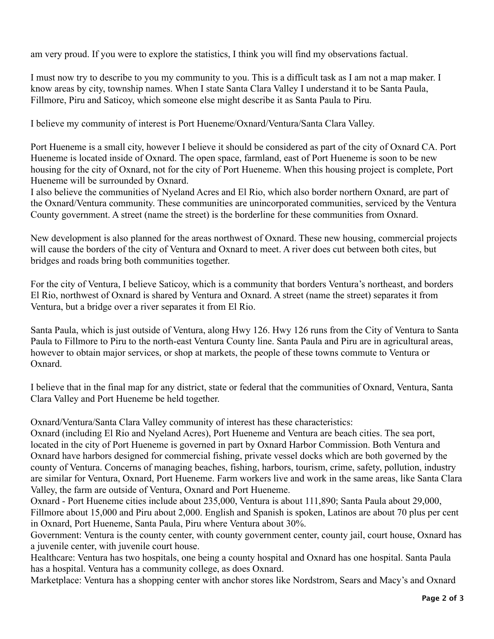am very proud. If you were to explore the statistics, I think you will find my observations factual.

I must now try to describe to you my community to you. This is a difficult task as I am not a map maker. I know areas by city, township names. When I state Santa Clara Valley I understand it to be Santa Paula, Fillmore, Piru and Saticoy, which someone else might describe it as Santa Paula to Piru.

I believe my community of interest is Port Hueneme/Oxnard/Ventura/Santa Clara Valley.

Port Hueneme is a small city, however I believe it should be considered as part of the city of Oxnard CA. Port Hueneme is located inside of Oxnard. The open space, farmland, east of Port Hueneme is soon to be new housing for the city of Oxnard, not for the city of Port Hueneme. When this housing project is complete, Port Hueneme will be surrounded by Oxnard.

 the Oxnard/Ventura community. These communities are unincorporated communities, serviced by the Ventura I also believe the communities of Nyeland Acres and El Rio, which also border northern Oxnard, are part of County government. A street (name the street) is the borderline for these communities from Oxnard.

New development is also planned for the areas northwest of Oxnard. These new housing, commercial projects will cause the borders of the city of Ventura and Oxnard to meet. A river does cut between both cites, but bridges and roads bring both communities together.

For the city of Ventura, I believe Saticoy, which is a community that borders Ventura's northeast, and borders El Rio, northwest of Oxnard is shared by Ventura and Oxnard. A street (name the street) separates it from Ventura, but a bridge over a river separates it from El Rio.

Santa Paula, which is just outside of Ventura, along Hwy 126. Hwy 126 runs from the City of Ventura to Santa Paula to Fillmore to Piru to the north-east Ventura County line. Santa Paula and Piru are in agricultural areas, however to obtain major services, or shop at markets, the people of these towns commute to Ventura or Oxnard.

I believe that in the final map for any district, state or federal that the communities of Oxnard, Ventura, Santa Clara Valley and Port Hueneme be held together.

Oxnard/Ventura/Santa Clara Valley community of interest has these characteristics:

Valley, the farm are outside of Ventura, Oxnard and Port Hueneme. Oxnard (including El Rio and Nyeland Acres), Port Hueneme and Ventura are beach cities. The sea port, located in the city of Port Hueneme is governed in part by Oxnard Harbor Commission. Both Ventura and Oxnard have harbors designed for commercial fishing, private vessel docks which are both governed by the county of Ventura. Concerns of managing beaches, fishing, harbors, tourism, crime, safety, pollution, industry are similar for Ventura, Oxnard, Port Hueneme. Farm workers live and work in the same areas, like Santa Clara

Oxnard - Port Hueneme cities include about 235,000, Ventura is about 111,890; Santa Paula about 29,000, Fillmore about 15,000 and Piru about 2,000. English and Spanish is spoken, Latinos are about 70 plus per cent in Oxnard, Port Hueneme, Santa Paula, Piru where Ventura about 30%.

Government: Ventura is the county center, with county government center, county jail, court house, Oxnard has a juvenile center, with juvenile court house.

has a hospital. Ventura has a community college, as does Oxnard. Healthcare: Ventura has two hospitals, one being a county hospital and Oxnard has one hospital. Santa Paula

Marketplace: Ventura has a shopping center with anchor stores like Nordstrom, Sears and Macy's and Oxnard